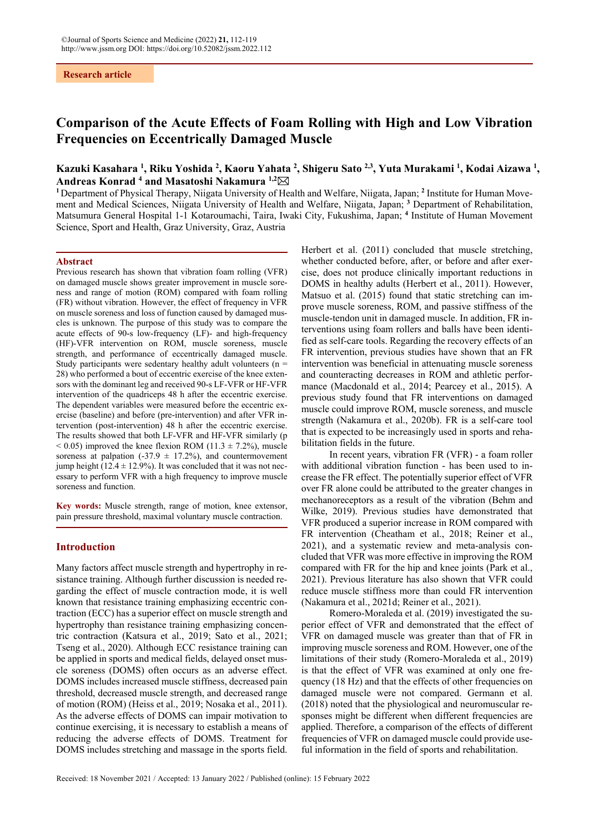### **Research article**

# **Comparison of the Acute Effects of Foam Rolling with High and Low Vibration Frequencies on Eccentrically Damaged Muscle**

## Kazuki Kasahara <sup>1</sup>, Riku Yoshida <sup>2</sup>, Kaoru Yahata <sup>2</sup>, Shigeru Sato <sup>2,3</sup>, Yuta Murakami <sup>1</sup>, Kodai Aizawa <sup>1</sup>, **Andreas Konrad 4 and Masatoshi Nakamura 1,2**

<sup>1</sup> Department of Physical Therapy, Niigata University of Health and Welfare, Niigata, Japan; <sup>2</sup> Institute for Human Movement and Medical Sciences, Niigata University of Health and Welfare, Niigata, Japan; **<sup>3</sup>** Department of Rehabilitation, Matsumura General Hospital 1-1 Kotaroumachi, Taira, Iwaki City, Fukushima, Japan; **<sup>4</sup>** Institute of Human Movement Science, Sport and Health, Graz University, Graz, Austria

#### **Abstract**

Previous research has shown that vibration foam rolling (VFR) on damaged muscle shows greater improvement in muscle soreness and range of motion (ROM) compared with foam rolling (FR) without vibration. However, the effect of frequency in VFR on muscle soreness and loss of function caused by damaged muscles is unknown. The purpose of this study was to compare the acute effects of 90-s low-frequency (LF)- and high-frequency (HF)-VFR intervention on ROM, muscle soreness, muscle strength, and performance of eccentrically damaged muscle. Study participants were sedentary healthy adult volunteers ( $n =$ 28) who performed a bout of eccentric exercise of the knee extensors with the dominant leg and received 90-s LF-VFR or HF-VFR intervention of the quadriceps 48 h after the eccentric exercise. The dependent variables were measured before the eccentric exercise (baseline) and before (pre-intervention) and after VFR intervention (post-intervention) 48 h after the eccentric exercise. The results showed that both LF-VFR and HF-VFR similarly (p  $< 0.05$ ) improved the knee flexion ROM (11.3  $\pm$  7.2%), muscle soreness at palpation (-37.9  $\pm$  17.2%), and countermovement jump height (12.4  $\pm$  12.9%). It was concluded that it was not necessary to perform VFR with a high frequency to improve muscle soreness and function.

**Key words:** Muscle strength, range of motion, knee extensor, pain pressure threshold, maximal voluntary muscle contraction.

### **Introduction**

Many factors affect muscle strength and hypertrophy in resistance training. Although further discussion is needed regarding the effect of muscle contraction mode, it is well known that resistance training emphasizing eccentric contraction (ECC) has a superior effect on muscle strength and hypertrophy than resistance training emphasizing concentric contraction (Katsura et al., 2019; Sato et al., 2021; Tseng et al., 2020). Although ECC resistance training can be applied in sports and medical fields, delayed onset muscle soreness (DOMS) often occurs as an adverse effect. DOMS includes increased muscle stiffness, decreased pain threshold, decreased muscle strength, and decreased range of motion (ROM) (Heiss et al., 2019; Nosaka et al., 2011). As the adverse effects of DOMS can impair motivation to continue exercising, it is necessary to establish a means of reducing the adverse effects of DOMS. Treatment for DOMS includes stretching and massage in the sports field.

Herbert et al. (2011) concluded that muscle stretching, whether conducted before, after, or before and after exercise, does not produce clinically important reductions in DOMS in healthy adults (Herbert et al., 2011). However, Matsuo et al. (2015) found that static stretching can improve muscle soreness, ROM, and passive stiffness of the muscle-tendon unit in damaged muscle. In addition, FR interventions using foam rollers and balls have been identified as self-care tools. Regarding the recovery effects of an FR intervention, previous studies have shown that an FR intervention was beneficial in attenuating muscle soreness and counteracting decreases in ROM and athletic performance (Macdonald et al., 2014; Pearcey et al., 2015). A previous study found that FR interventions on damaged muscle could improve ROM, muscle soreness, and muscle strength (Nakamura et al., 2020b). FR is a self-care tool that is expected to be increasingly used in sports and rehabilitation fields in the future.

In recent years, vibration FR (VFR) - a foam roller with additional vibration function - has been used to increase the FR effect. The potentially superior effect of VFR over FR alone could be attributed to the greater changes in mechanoreceptors as a result of the vibration (Behm and Wilke, 2019). Previous studies have demonstrated that VFR produced a superior increase in ROM compared with FR intervention (Cheatham et al., 2018; Reiner et al., 2021), and a systematic review and meta-analysis concluded that VFR was more effective in improving the ROM compared with FR for the hip and knee joints (Park et al., 2021). Previous literature has also shown that VFR could reduce muscle stiffness more than could FR intervention (Nakamura et al., 2021d; Reiner et al., 2021).

Romero-Moraleda et al. (2019) investigated the superior effect of VFR and demonstrated that the effect of VFR on damaged muscle was greater than that of FR in improving muscle soreness and ROM. However, one of the limitations of their study (Romero-Moraleda et al., 2019) is that the effect of VFR was examined at only one frequency (18 Hz) and that the effects of other frequencies on damaged muscle were not compared. Germann et al. (2018) noted that the physiological and neuromuscular responses might be different when different frequencies are applied. Therefore, a comparison of the effects of different frequencies of VFR on damaged muscle could provide useful information in the field of sports and rehabilitation.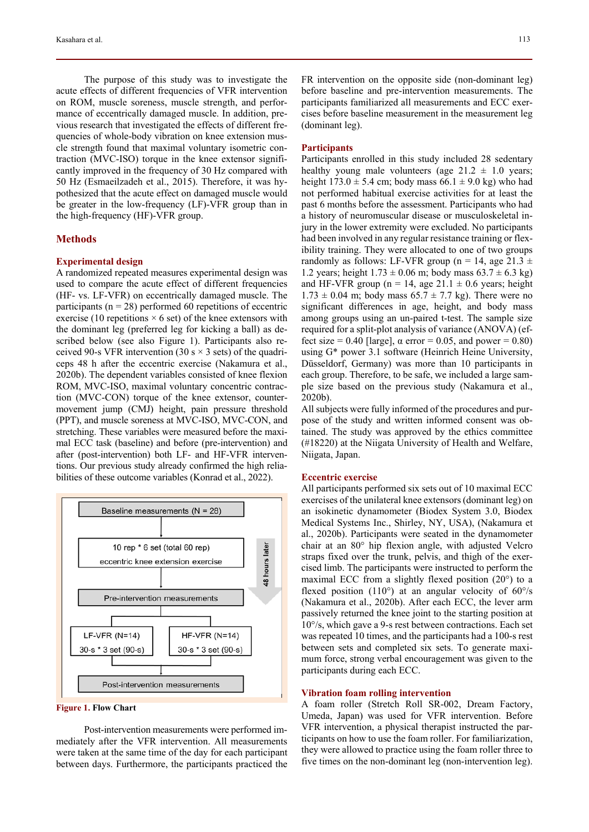The purpose of this study was to investigate the acute effects of different frequencies of VFR intervention on ROM, muscle soreness, muscle strength, and performance of eccentrically damaged muscle. In addition, previous research that investigated the effects of different frequencies of whole-body vibration on knee extension muscle strength found that maximal voluntary isometric contraction (MVC-ISO) torque in the knee extensor significantly improved in the frequency of 30 Hz compared with 50 Hz (Esmaeilzadeh et al., 2015). Therefore, it was hypothesized that the acute effect on damaged muscle would be greater in the low-frequency (LF)-VFR group than in the high-frequency (HF)-VFR group.

### **Methods**

#### **Experimental design**

A randomized repeated measures experimental design was used to compare the acute effect of different frequencies (HF- vs. LF-VFR) on eccentrically damaged muscle. The participants ( $n = 28$ ) performed 60 repetitions of eccentric exercise (10 repetitions  $\times$  6 set) of the knee extensors with the dominant leg (preferred leg for kicking a ball) as described below (see also Figure 1). Participants also received 90-s VFR intervention (30 s  $\times$  3 sets) of the quadriceps 48 h after the eccentric exercise (Nakamura et al., 2020b). The dependent variables consisted of knee flexion ROM, MVC-ISO, maximal voluntary concentric contraction (MVC-CON) torque of the knee extensor, countermovement jump (CMJ) height, pain pressure threshold (PPT), and muscle soreness at MVC-ISO, MVC-CON, and stretching. These variables were measured before the maximal ECC task (baseline) and before (pre-intervention) and after (post-intervention) both LF- and HF-VFR interventions. Our previous study already confirmed the high reliabilities of these outcome variables (Konrad et al., 2022).





Post-intervention measurements were performed immediately after the VFR intervention. All measurements were taken at the same time of the day for each participant between days. Furthermore, the participants practiced the FR intervention on the opposite side (non-dominant leg) before baseline and pre-intervention measurements. The participants familiarized all measurements and ECC exercises before baseline measurement in the measurement leg (dominant leg).

### **Participants**

Participants enrolled in this study included 28 sedentary healthy young male volunteers (age  $21.2 \pm 1.0$  years; height  $173.0 \pm 5.4$  cm; body mass  $66.1 \pm 9.0$  kg) who had not performed habitual exercise activities for at least the past 6 months before the assessment. Participants who had a history of neuromuscular disease or musculoskeletal injury in the lower extremity were excluded. No participants had been involved in any regular resistance training or flexibility training. They were allocated to one of two groups randomly as follows: LF-VFR group (n = 14, age 21.3  $\pm$ 1.2 years; height  $1.73 \pm 0.06$  m; body mass  $63.7 \pm 6.3$  kg) and HF-VFR group (n = 14, age 21.1  $\pm$  0.6 years; height  $1.73 \pm 0.04$  m; body mass  $65.7 \pm 7.7$  kg). There were no significant differences in age, height, and body mass among groups using an un-paired t-test. The sample size required for a split-plot analysis of variance (ANOVA) (effect size = 0.40 [large],  $\alpha$  error = 0.05, and power = 0.80) using G\* power 3.1 software (Heinrich Heine University, Düsseldorf, Germany) was more than 10 participants in each group. Therefore, to be safe, we included a large sample size based on the previous study (Nakamura et al., 2020b).

All subjects were fully informed of the procedures and purpose of the study and written informed consent was obtained. The study was approved by the ethics committee (#18220) at the Niigata University of Health and Welfare, Niigata, Japan.

### **Eccentric exercise**

All participants performed six sets out of 10 maximal ECC exercises of the unilateral knee extensors (dominant leg) on an isokinetic dynamometer (Biodex System 3.0, Biodex Medical Systems Inc., Shirley, NY, USA), (Nakamura et al., 2020b). Participants were seated in the dynamometer chair at an 80° hip flexion angle, with adjusted Velcro straps fixed over the trunk, pelvis, and thigh of the exercised limb. The participants were instructed to perform the maximal ECC from a slightly flexed position (20°) to a flexed position (110 $^{\circ}$ ) at an angular velocity of 60 $^{\circ}$ /s (Nakamura et al., 2020b). After each ECC, the lever arm passively returned the knee joint to the starting position at 10°/s, which gave a 9-s rest between contractions. Each set was repeated 10 times, and the participants had a 100-s rest between sets and completed six sets. To generate maximum force, strong verbal encouragement was given to the participants during each ECC.

### **Vibration foam rolling intervention**

A foam roller (Stretch Roll SR-002, Dream Factory, Umeda, Japan) was used for VFR intervention. Before VFR intervention, a physical therapist instructed the participants on how to use the foam roller. For familiarization, they were allowed to practice using the foam roller three to five times on the non-dominant leg (non-intervention leg).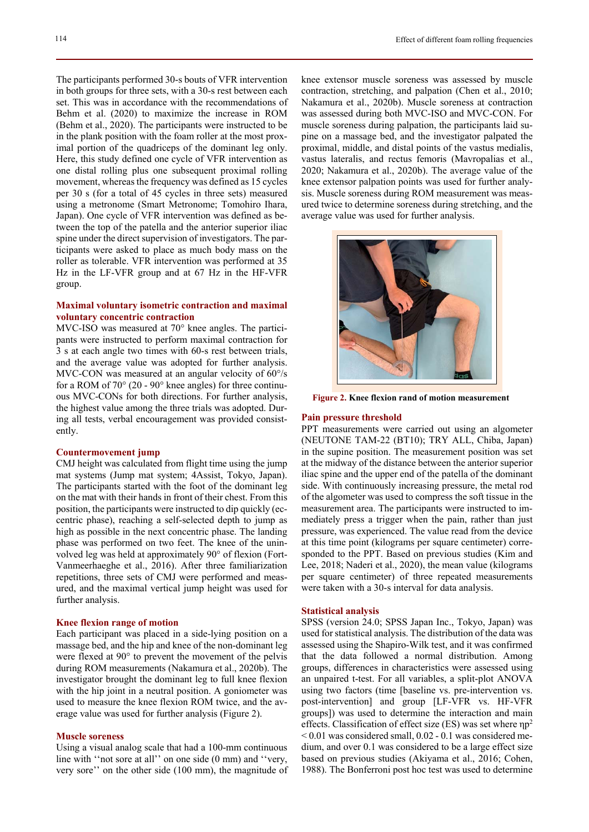The participants performed 30-s bouts of VFR intervention in both groups for three sets, with a 30-s rest between each set. This was in accordance with the recommendations of Behm et al. (2020) to maximize the increase in ROM (Behm et al., 2020). The participants were instructed to be in the plank position with the foam roller at the most proximal portion of the quadriceps of the dominant leg only. Here, this study defined one cycle of VFR intervention as one distal rolling plus one subsequent proximal rolling movement, whereas the frequency was defined as 15 cycles per 30 s (for a total of 45 cycles in three sets) measured using a metronome (Smart Metronome; Tomohiro Ihara, Japan). One cycle of VFR intervention was defined as between the top of the patella and the anterior superior iliac spine under the direct supervision of investigators. The participants were asked to place as much body mass on the roller as tolerable. VFR intervention was performed at 35 Hz in the LF-VFR group and at 67 Hz in the HF-VFR group.

### **Maximal voluntary isometric contraction and maximal voluntary concentric contraction**

MVC-ISO was measured at 70° knee angles. The participants were instructed to perform maximal contraction for 3 s at each angle two times with 60-s rest between trials, and the average value was adopted for further analysis. MVC-CON was measured at an angular velocity of 60°/s for a ROM of 70° (20 - 90° knee angles) for three continuous MVC-CONs for both directions. For further analysis, the highest value among the three trials was adopted. During all tests, verbal encouragement was provided consistently.

### **Countermovement jump**

CMJ height was calculated from flight time using the jump mat systems (Jump mat system; 4Assist, Tokyo, Japan). The participants started with the foot of the dominant leg on the mat with their hands in front of their chest. From this position, the participants were instructed to dip quickly (eccentric phase), reaching a self-selected depth to jump as high as possible in the next concentric phase. The landing phase was performed on two feet. The knee of the uninvolved leg was held at approximately 90° of flexion (Fort-Vanmeerhaeghe et al., 2016). After three familiarization repetitions, three sets of CMJ were performed and measured, and the maximal vertical jump height was used for further analysis.

### **Knee flexion range of motion**

Each participant was placed in a side-lying position on a massage bed, and the hip and knee of the non-dominant leg were flexed at 90° to prevent the movement of the pelvis during ROM measurements (Nakamura et al., 2020b). The investigator brought the dominant leg to full knee flexion with the hip joint in a neutral position. A goniometer was used to measure the knee flexion ROM twice, and the average value was used for further analysis (Figure 2).

#### **Muscle soreness**

Using a visual analog scale that had a 100-mm continuous line with "not sore at all" on one side (0 mm) and "very, very sore'' on the other side (100 mm), the magnitude of knee extensor muscle soreness was assessed by muscle contraction, stretching, and palpation (Chen et al., 2010; Nakamura et al., 2020b). Muscle soreness at contraction was assessed during both MVC-ISO and MVC-CON. For muscle soreness during palpation, the participants laid supine on a massage bed, and the investigator palpated the proximal, middle, and distal points of the vastus medialis, vastus lateralis, and rectus femoris (Mavropalias et al., 2020; Nakamura et al., 2020b). The average value of the knee extensor palpation points was used for further analysis. Muscle soreness during ROM measurement was measured twice to determine soreness during stretching, and the average value was used for further analysis.



 **Figure 2. Knee flexion rand of motion measurement** 

#### **Pain pressure threshold**

PPT measurements were carried out using an algometer (NEUTONE TAM-22 (BT10); TRY ALL, Chiba, Japan) in the supine position. The measurement position was set at the midway of the distance between the anterior superior iliac spine and the upper end of the patella of the dominant side. With continuously increasing pressure, the metal rod of the algometer was used to compress the soft tissue in the measurement area. The participants were instructed to immediately press a trigger when the pain, rather than just pressure, was experienced. The value read from the device at this time point (kilograms per square centimeter) corresponded to the PPT. Based on previous studies (Kim and Lee, 2018; Naderi et al., 2020), the mean value (kilograms per square centimeter) of three repeated measurements were taken with a 30-s interval for data analysis.

### **Statistical analysis**

SPSS (version 24.0; SPSS Japan Inc., Tokyo, Japan) was used for statistical analysis. The distribution of the data was assessed using the Shapiro-Wilk test, and it was confirmed that the data followed a normal distribution. Among groups, differences in characteristics were assessed using an unpaired t-test. For all variables, a split-plot ANOVA using two factors (time [baseline vs. pre-intervention vs. post-intervention] and group [LF-VFR vs. HF-VFR groups]) was used to determine the interaction and main effects. Classification of effect size (ES) was set where  $np^2$  $< 0.01$  was considered small,  $0.02 - 0.1$  was considered medium, and over 0.1 was considered to be a large effect size based on previous studies (Akiyama et al., 2016; Cohen, 1988). The Bonferroni post hoc test was used to determine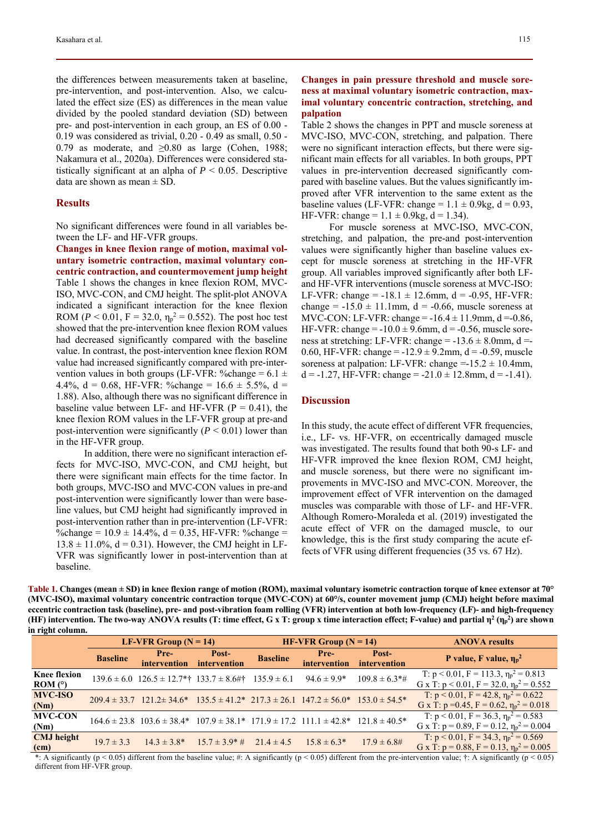the differences between measurements taken at baseline, pre-intervention, and post-intervention. Also, we calculated the effect size (ES) as differences in the mean value divided by the pooled standard deviation (SD) between pre- and post-intervention in each group, an ES of 0.00 - 0.19 was considered as trivial, 0.20 - 0.49 as small, 0.50 - 0.79 as moderate, and  $\geq$ 0.80 as large (Cohen, 1988; Nakamura et al., 2020a). Differences were considered statistically significant at an alpha of  $P \leq 0.05$ . Descriptive data are shown as mean  $\pm$  SD.

### **Results**

No significant differences were found in all variables between the LF- and HF-VFR groups.

**Changes in knee flexion range of motion, maximal voluntary isometric contraction, maximal voluntary concentric contraction, and countermovement jump height**  Table 1 shows the changes in knee flexion ROM, MVC-ISO, MVC-CON, and CMJ height. The split-plot ANOVA indicated a significant interaction for the knee flexion ROM ( $P < 0.01$ ,  $F = 32.0$ ,  $\eta_p^2 = 0.552$ ). The post hoc test showed that the pre-intervention knee flexion ROM values had decreased significantly compared with the baseline value. In contrast, the post-intervention knee flexion ROM value had increased significantly compared with pre-intervention values in both groups (LF-VFR: %change =  $6.1 \pm$ 4.4%, d = 0.68, HF-VFR: %change =  $16.6 \pm 5.5$ %, d = 1.88). Also, although there was no significant difference in baseline value between LF- and HF-VFR  $(P = 0.41)$ , the knee flexion ROM values in the LF-VFR group at pre-and post-intervention were significantly  $(P < 0.01)$  lower than in the HF-VFR group.

In addition, there were no significant interaction effects for MVC-ISO, MVC-CON, and CMJ height, but there were significant main effects for the time factor. In both groups, MVC-ISO and MVC-CON values in pre-and post-intervention were significantly lower than were baseline values, but CMJ height had significantly improved in post-intervention rather than in pre-intervention (LF-VFR: %change =  $10.9 \pm 14.4$ %, d = 0.35, HF-VFR: %change =  $13.8 \pm 11.0$ %, d = 0.31). However, the CMJ height in LF-VFR was significantly lower in post-intervention than at baseline.

### **Changes in pain pressure threshold and muscle soreness at maximal voluntary isometric contraction, maximal voluntary concentric contraction, stretching, and palpation**

Table 2 shows the changes in PPT and muscle soreness at MVC-ISO, MVC-CON, stretching, and palpation. There were no significant interaction effects, but there were significant main effects for all variables. In both groups, PPT values in pre-intervention decreased significantly compared with baseline values. But the values significantly improved after VFR intervention to the same extent as the baseline values (LF-VFR: change =  $1.1 \pm 0.9$ kg, d = 0.93, HF-VFR: change =  $1.1 \pm 0.9$ kg, d = 1.34).

For muscle soreness at MVC-ISO, MVC-CON, stretching, and palpation, the pre-and post-intervention values were significantly higher than baseline values except for muscle soreness at stretching in the HF-VFR group. All variables improved significantly after both LFand HF-VFR interventions (muscle soreness at MVC-ISO: LF-VFR: change =  $-18.1 \pm 12.6$ mm, d =  $-0.95$ , HF-VFR: change =  $-15.0 \pm 11.1$  mm,  $d = -0.66$ , muscle soreness at MVC-CON: LF-VFR: change =  $-16.4 \pm 11.9$ mm, d =  $-0.86$ , HF-VFR: change  $= -10.0 \pm 9.6$ mm, d  $= -0.56$ , muscle soreness at stretching: LF-VFR: change  $= -13.6 \pm 8.0$ mm, d $=$ 0.60, HF-VFR: change =  $-12.9 \pm 9.2$ mm, d =  $-0.59$ , muscle soreness at palpation: LF-VFR: change =- $15.2 \pm 10.4$ mm,  $d = -1.27$ , HF-VFR: change =  $-21.0 \pm 12.8$ mm,  $d = -1.41$ ).

### **Discussion**

In this study, the acute effect of different VFR frequencies, i.e., LF- vs. HF-VFR, on eccentrically damaged muscle was investigated. The results found that both 90-s LF- and HF-VFR improved the knee flexion ROM, CMJ height, and muscle soreness, but there were no significant improvements in MVC-ISO and MVC-CON. Moreover, the improvement effect of VFR intervention on the damaged muscles was comparable with those of LF- and HF-VFR. Although Romero-Moraleda et al. (2019) investigated the acute effect of VFR on the damaged muscle, to our knowledge, this is the first study comparing the acute effects of VFR using different frequencies (35 vs. 67 Hz).

**Table 1. Changes (mean ± SD) in knee flexion range of motion (ROM), maximal voluntary isometric contraction torque of knee extensor at 70° (MVC-ISO), maximal voluntary concentric contraction torque (MVC-CON) at 60°/s, counter movement jump (CMJ) height before maximal eccentric contraction task (baseline), pre- and post-vibration foam rolling (VFR) intervention at both low-frequency (LF)- and high-frequency (HF)** intervention. The two-way ANOVA results (T: time effect, G x T: group x time interaction effect; F-value) and partial η<sup>2</sup> (η<sub>p</sub><sup>2</sup>) are shown **in right column.** 

|                                | LF-VFR Group $(N = 14)$ |                                                                                                               |                       | HF-VFR Group $(N = 14)$ |                      |                                | <b>ANOVA</b> results                                                                                    |
|--------------------------------|-------------------------|---------------------------------------------------------------------------------------------------------------|-----------------------|-------------------------|----------------------|--------------------------------|---------------------------------------------------------------------------------------------------------|
|                                | <b>Baseline</b>         | Pre-<br><i>intervention</i>                                                                                   | Post-<br>intervention | <b>Baseline</b>         | Pre-<br>intervention | Post-<br>intervention          | P value, F value, $\eta_p^2$                                                                            |
| <b>Knee flexion</b><br>ROM (°) |                         | $139.6 \pm 6.0$ $126.5 \pm 12.7$ *† $133.7 \pm 8.6$ #† $135.9 \pm 6.1$                                        |                       |                         | $94.6 \pm 9.9^*$     | $109.8 \pm 6.3$ <sup>*</sup> # | T: $p < 0.01$ , $F = 113.3$ , $\eta_p^2 = 0.813$<br>G x T: $p < 0.01$ , $F = 32.0$ , $\eta_p^2 = 0.552$ |
| <b>MVC-ISO</b><br>(Nm)         |                         | $209.4 \pm 33.7$ $121.2 \pm 34.6^*$ $135.5 \pm 41.2^*$ $217.3 \pm 26.1$ $147.2 \pm 56.0^*$ $153.0 \pm 54.5^*$ |                       |                         |                      |                                | T: $p < 0.01$ , $F = 42.8$ , $\eta_p^2 = 0.622$<br>G x T: $p = 0.45$ , $F = 0.62$ , $\eta_p^2 = 0.018$  |
| <b>MVC-CON</b><br>(Nm)         |                         | $164.6 \pm 23.8$ $103.6 \pm 38.4^*$ $107.9 \pm 38.1^*$ $171.9 \pm 17.2$ $111.1 \pm 42.8^*$ $121.8 \pm 40.5^*$ |                       |                         |                      |                                | T: $p < 0.01$ , $F = 36.3$ , $\eta_p^2 = 0.583$<br>G x T: $p = 0.89$ , $F = 0.12$ , $\eta_p^2 = 0.004$  |
| <b>CMJ</b> height<br>(cm)      | $19.7 \pm 3.3$          | $14.3 \pm 3.8^*$                                                                                              | $15.7 \pm 3.9^* \#$   | $21.4 \pm 4.5$          | $15.8 \pm 6.3*$      | $17.9 \pm 6.8$ #               | T: $p < 0.01$ , $F = 34.3$ , $\eta_p^2 = 0.569$<br>G x T: $p = 0.88$ , $F = 0.13$ , $\eta_p^2 = 0.005$  |

\*: A significantly (p < 0.05) different from the baseline value; #: A significantly (p < 0.05) different from the pre-intervention value;  $\dagger$ : A significantly (p < 0.05) different from HF-VFR group.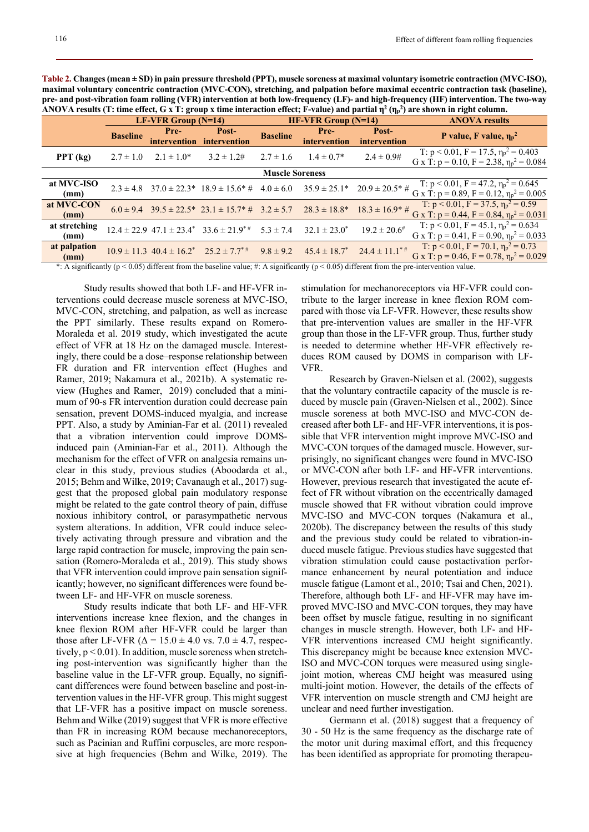**Table 2. Changes (mean ± SD) in pain pressure threshold (PPT), muscle soreness at maximal voluntary isometric contraction (MVC-ISO), maximal voluntary concentric contraction (MVC-CON), stretching, and palpation before maximal eccentric contraction task (baseline), pre- and post-vibration foam rolling (VFR) intervention at both low-frequency (LF)- and high-frequency (HF) intervention. The two-way ANOVA results (T: time effect, G x T: group x time interaction effect; F-value) and partial**  $\eta^2(\eta_p^2)$  **are shown in right column.** 

|                        |                       |                      |                                                                                                               |                       |                      | .                            |                                                                                                        |  |  |  |  |
|------------------------|-----------------------|----------------------|---------------------------------------------------------------------------------------------------------------|-----------------------|----------------------|------------------------------|--------------------------------------------------------------------------------------------------------|--|--|--|--|
|                        | LF-VFR Group $(N=14)$ |                      |                                                                                                               | $HF-VER Group (N=14)$ |                      |                              | <b>ANOVA</b> results                                                                                   |  |  |  |  |
|                        | <b>Baseline</b>       | Pre-<br>intervention | Post-<br>intervention                                                                                         | <b>Baseline</b>       | Pre-<br>intervention | Post-<br>intervention        | P value, F value, $\eta_p^2$                                                                           |  |  |  |  |
| PPT $(kg)$             | $2.7 \pm 1.0$         | $2.1 \pm 1.0^*$      | $3.2 \pm 1.2$ #                                                                                               | $2.7 \pm 1.6$         | $1.4 \pm 0.7*$       | $2.4 \pm 0.9$ #              | T: $p < 0.01$ , $F = 17.5$ , $\eta_p^2 = 0.403$<br>G x T: $p = 0.10$ , $F = 2.38$ , $\eta_p^2 = 0.084$ |  |  |  |  |
| <b>Muscle Soreness</b> |                       |                      |                                                                                                               |                       |                      |                              |                                                                                                        |  |  |  |  |
| at MVC-ISO<br>(mm)     |                       |                      | $2.3 \pm 4.8$ $37.0 \pm 22.3^*$ $18.9 \pm 15.6^*$ $\#$ $4.0 \pm 6.0$ $35.9 \pm 25.1^*$ $20.9 \pm 20.5^*$ $\#$ |                       |                      |                              | T: $p < 0.01$ , $F = 47.2$ , $\eta_p^2 = 0.645$<br>G x T: $p = 0.89$ , $F = 0.12$ , $\eta_p^2 = 0.005$ |  |  |  |  |
| at MVC-CON<br>(mm)     |                       |                      | $6.0 \pm 9.4$ $39.5 \pm 22.5^*$ $23.1 \pm 15.7^*$ $\#$ $3.2 \pm 5.7$ $28.3 \pm 18.8^*$ $18.3 \pm 16.9^*$ $\#$ |                       |                      |                              | T: $p < 0.01$ , $F = 37.5$ , $\eta_p^2 = 0.59$<br>G x T: $p = 0.44$ , $F = 0.84$ , $\eta_p^2 = 0.031$  |  |  |  |  |
| at stretching<br>(mm)  |                       |                      | $12.4 \pm 22.9$ 47.1 $\pm 23.4^*$ 33.6 $\pm 21.9^{*}$ 5.3 $\pm 7.4$                                           |                       | $32.1 \pm 23.0^*$    | $19.2 \pm 20.6^{\#}$         | T: $p < 0.01$ , $F = 45.1$ , $\eta_p^2 = 0.634$<br>G x T: $p = 0.41$ , $F = 0.90$ , $\eta_p^2 = 0.033$ |  |  |  |  |
| at palpation<br>(mm)   |                       |                      | $10.9 \pm 11.3$ $40.4 \pm 16.2^*$ $25.2 \pm 7.7^*$                                                            | $9.8 \pm 9.2$         | $45.4 \pm 18.7^*$    | $24.4 \pm 11.1$ <sup>*</sup> | T: $p < 0.01$ , $F = 70.1$ , $\eta_p^2 = 0.73$<br>G x T: $p = 0.46$ , $F = 0.78$ , $\eta_p^2 = 0.029$  |  |  |  |  |

\*: A significantly ( $p < 0.05$ ) different from the baseline value; #: A significantly ( $p < 0.05$ ) different from the pre-intervention value.

Study results showed that both LF- and HF-VFR interventions could decrease muscle soreness at MVC-ISO, MVC-CON, stretching, and palpation, as well as increase the PPT similarly. These results expand on Romero-Moraleda et al. 2019 study, which investigated the acute effect of VFR at 18 Hz on the damaged muscle. Interestingly, there could be a dose–response relationship between FR duration and FR intervention effect (Hughes and Ramer, 2019; Nakamura et al., 2021b). A systematic review (Hughes and Ramer, 2019) concluded that a minimum of 90-s FR intervention duration could decrease pain sensation, prevent DOMS-induced myalgia, and increase PPT. Also, a study by Aminian-Far et al. (2011) revealed that a vibration intervention could improve DOMSinduced pain (Aminian-Far et al., 2011). Although the mechanism for the effect of VFR on analgesia remains unclear in this study, previous studies (Aboodarda et al., 2015; Behm and Wilke, 2019; Cavanaugh et al., 2017) suggest that the proposed global pain modulatory response might be related to the gate control theory of pain, diffuse noxious inhibitory control, or parasympathetic nervous system alterations. In addition, VFR could induce selectively activating through pressure and vibration and the large rapid contraction for muscle, improving the pain sensation (Romero-Moraleda et al., 2019). This study shows that VFR intervention could improve pain sensation significantly; however, no significant differences were found between LF- and HF-VFR on muscle soreness.

Study results indicate that both LF- and HF-VFR interventions increase knee flexion, and the changes in knee flexion ROM after HF-VFR could be larger than those after LF-VFR ( $\Delta = 15.0 \pm 4.0$  vs.  $7.0 \pm 4.7$ , respectively,  $p < 0.01$ ). In addition, muscle soreness when stretching post-intervention was significantly higher than the baseline value in the LF-VFR group. Equally, no significant differences were found between baseline and post-intervention values in the HF-VFR group. This might suggest that LF-VFR has a positive impact on muscle soreness. Behm and Wilke (2019) suggest that VFR is more effective than FR in increasing ROM because mechanoreceptors, such as Pacinian and Ruffini corpuscles, are more responsive at high frequencies (Behm and Wilke, 2019). The stimulation for mechanoreceptors via HF-VFR could contribute to the larger increase in knee flexion ROM compared with those via LF-VFR. However, these results show that pre-intervention values are smaller in the HF-VFR group than those in the LF-VFR group. Thus, further study is needed to determine whether HF-VFR effectively reduces ROM caused by DOMS in comparison with LF-VFR.

Research by Graven-Nielsen et al. (2002), suggests that the voluntary contractile capacity of the muscle is reduced by muscle pain (Graven-Nielsen et al., 2002). Since muscle soreness at both MVC-ISO and MVC-CON decreased after both LF- and HF-VFR interventions, it is possible that VFR intervention might improve MVC-ISO and MVC-CON torques of the damaged muscle. However, surprisingly, no significant changes were found in MVC-ISO or MVC-CON after both LF- and HF-VFR interventions. However, previous research that investigated the acute effect of FR without vibration on the eccentrically damaged muscle showed that FR without vibration could improve MVC-ISO and MVC-CON torques (Nakamura et al., 2020b). The discrepancy between the results of this study and the previous study could be related to vibration-induced muscle fatigue. Previous studies have suggested that vibration stimulation could cause postactivation performance enhancement by neural potentiation and induce muscle fatigue (Lamont et al., 2010; Tsai and Chen, 2021). Therefore, although both LF- and HF-VFR may have improved MVC-ISO and MVC-CON torques, they may have been offset by muscle fatigue, resulting in no significant changes in muscle strength. However, both LF- and HF-VFR interventions increased CMJ height significantly. This discrepancy might be because knee extension MVC-ISO and MVC-CON torques were measured using singlejoint motion, whereas CMJ height was measured using multi-joint motion. However, the details of the effects of VFR intervention on muscle strength and CMJ height are unclear and need further investigation.

Germann et al. (2018) suggest that a frequency of 30 - 50 Hz is the same frequency as the discharge rate of the motor unit during maximal effort, and this frequency has been identified as appropriate for promoting therapeu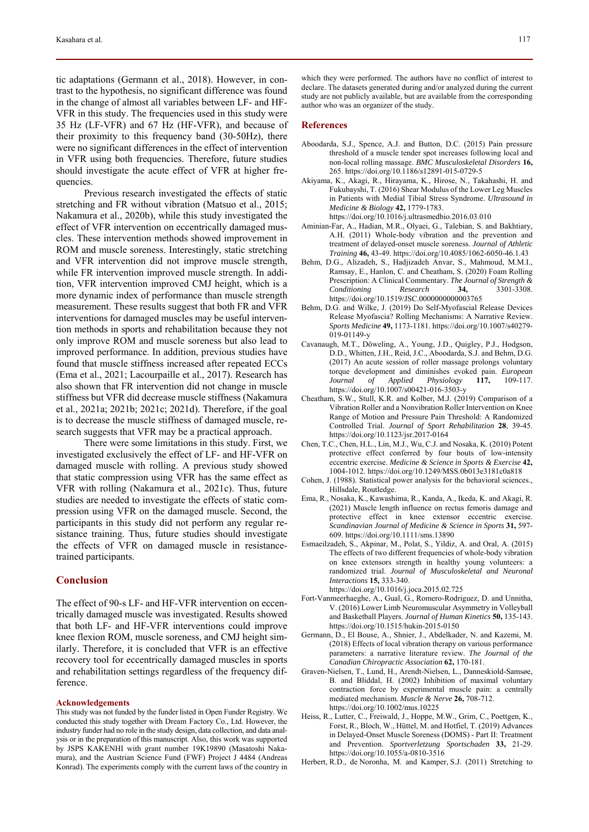tic adaptations (Germann et al., 2018). However, in contrast to the hypothesis, no significant difference was found in the change of almost all variables between LF- and HF-VFR in this study. The frequencies used in this study were 35 Hz (LF-VFR) and 67 Hz (HF-VFR), and because of their proximity to this frequency band (30-50Hz), there were no significant differences in the effect of intervention in VFR using both frequencies. Therefore, future studies should investigate the acute effect of VFR at higher frequencies.

Previous research investigated the effects of static stretching and FR without vibration (Matsuo et al., 2015; Nakamura et al., 2020b), while this study investigated the effect of VFR intervention on eccentrically damaged muscles. These intervention methods showed improvement in ROM and muscle soreness. Interestingly, static stretching and VFR intervention did not improve muscle strength, while FR intervention improved muscle strength. In addition, VFR intervention improved CMJ height, which is a more dynamic index of performance than muscle strength measurement. These results suggest that both FR and VFR interventions for damaged muscles may be useful intervention methods in sports and rehabilitation because they not only improve ROM and muscle soreness but also lead to improved performance. In addition, previous studies have found that muscle stiffness increased after repeated ECCs (Ema et al., 2021; Lacourpaille et al., 2017). Research has also shown that FR intervention did not change in muscle stiffness but VFR did decrease muscle stiffness (Nakamura et al., 2021a; 2021b; 2021c; 2021d). Therefore, if the goal is to decrease the muscle stiffness of damaged muscle, research suggests that VFR may be a practical approach.

There were some limitations in this study. First, we investigated exclusively the effect of LF- and HF-VFR on damaged muscle with rolling. A previous study showed that static compression using VFR has the same effect as VFR with rolling (Nakamura et al., 2021c). Thus, future studies are needed to investigate the effects of static compression using VFR on the damaged muscle. Second, the participants in this study did not perform any regular resistance training. Thus, future studies should investigate the effects of VFR on damaged muscle in resistancetrained participants.

### **Conclusion**

The effect of 90-s LF- and HF-VFR intervention on eccentrically damaged muscle was investigated. Results showed that both LF- and HF-VFR interventions could improve knee flexion ROM, muscle soreness, and CMJ height similarly. Therefore, it is concluded that VFR is an effective recovery tool for eccentrically damaged muscles in sports and rehabilitation settings regardless of the frequency difference.

#### **Acknowledgements**

This study was not funded by the funder listed in Open Funder Registry. We conducted this study together with Dream Factory Co., Ltd. However, the industry funder had no role in the study design, data collection, and data analysis or in the preparation of this manuscript. Also, this work was supported by JSPS KAKENHI with grant number 19K19890 (Masatoshi Nakamura), and the Austrian Science Fund (FWF) Project J 4484 (Andreas Konrad). The experiments comply with the current laws of the country in

which they were performed. The authors have no conflict of interest to declare. The datasets generated during and/or analyzed during the current study are not publicly available, but are available from the corresponding author who was an organizer of the study.

#### **References**

- Aboodarda, S.J., Spence, A.J. and Button, D.C. (2015) Pain pressure threshold of a muscle tender spot increases following local and non-local rolling massage. *BMC Musculoskeletal Disorders* **16,** 265. https://doi.org/10.1186/s12891-015-0729-5
- Akiyama, K., Akagi, R., Hirayama, K., Hirose, N., Takahashi, H. and Fukubayshi, T. (2016) Shear Modulus of the Lower Leg Muscles in Patients with Medial Tibial Stress Syndrome. *Ultrasound in Medicine & Biology* **42,** 1779-1783.
	- https://doi.org/10.1016/j.ultrasmedbio.2016.03.010
- Aminian-Far, A., Hadian, M.R., Olyaei, G., Talebian, S. and Bakhtiary, A.H. (2011) Whole-body vibration and the prevention and treatment of delayed-onset muscle soreness. *Journal of Athletic Training* **46,** 43-49. https://doi.org/10.4085/1062-6050-46.1.43
- Behm, D.G., Alizadeh, S., Hadjizadeh Anvar, S., Mahmoud, M.M.I., Ramsay, E., Hanlon, C. and Cheatham, S. (2020) Foam Rolling Prescription: A Clinical Commentary. *The Journal of Strength & Conditioning Research* **34.** https://doi.org/10.1519/JSC.0000000000003765
- Behm, D.G. and Wilke, J. (2019) Do Self-Myofascial Release Devices Release Myofascia? Rolling Mechanisms: A Narrative Review. *Sports Medicine* **49,** 1173-1181. https://doi.org/10.1007/s40279- 019-01149-y
- Cavanaugh, M.T., Döweling, A., Young, J.D., Quigley, P.J., Hodgson, D.D., Whitten, J.H., Reid, J.C., Aboodarda, S.J. and Behm, D.G. (2017) An acute session of roller massage prolongs voluntary torque development and diminishes evoked pain. *European Journal of Applied Physiology* **117,** 109-117. https://doi.org/10.1007/s00421-016-3503-y
- Cheatham, S.W., Stull, K.R. and Kolber, M.J. (2019) Comparison of a Vibration Roller and a Nonvibration Roller Intervention on Knee Range of Motion and Pressure Pain Threshold: A Randomized Controlled Trial. *Journal of Sport Rehabilitation* **28**, 39-45. https://doi.org/10.1123/jsr.2017-0164
- Chen, T.C., Chen, H.L., Lin, M.J., Wu, C.J. and Nosaka, K. (2010) Potent protective effect conferred by four bouts of low-intensity eccentric exercise. *Medicine & Science in Sports & Exercise* **42,** 1004-1012. https://doi.org/10.1249/MSS.0b013e3181c0a818
- Cohen, J. (1988). Statistical power analysis for the behavioral sciences., Hillsdale, Routledge.
- Ema, R., Nosaka, K., Kawashima, R., Kanda, A., Ikeda, K. and Akagi, R. (2021) Muscle length influence on rectus femoris damage and protective effect in knee extensor eccentric exercise. *Scandinavian Journal of Medicine & Science in Sports* **31,** 597- 609. https://doi.org/10.1111/sms.13890
- Esmaeilzadeh, S., Akpinar, M., Polat, S., Yildiz, A. and Oral, A. (2015) The effects of two different frequencies of whole-body vibration on knee extensors strength in healthy young volunteers: a randomized trial. *Journal of Musculoskeletal and Neuronal Interactions* **15,** 333-340. https://doi.org/10.1016/j.joca.2015.02.725
- Fort-Vanmeerhaeghe, A., Gual, G., Romero-Rodriguez, D. and Unnitha, V. (2016) Lower Limb Neuromuscular Asymmetry in Volleyball and Basketball Players. *Journal of Human Kinetics* **50,** 135-143. https://doi.org/10.1515/hukin-2015-0150
- Germann, D., El Bouse, A., Shnier, J., Abdelkader, N. and Kazemi, M. (2018) Effects of local vibration therapy on various performance parameters: a narrative literature review. *The Journal of the Canadian Chiropractic Association* **62,** 170-181.
- Graven-Nielsen, T., Lund, H., Arendt-Nielsen, L., Danneskiold-Samsøe, B. and Bliddal, H. (2002) Inhibition of maximal voluntary contraction force by experimental muscle pain: a centrally mediated mechanism. *Muscle & Nerve* **26,** 708-712. https://doi.org/10.1002/mus.10225
- Heiss, R., Lutter, C., Freiwald, J., Hoppe, M.W., Grim, C., Poettgen, K., Forst, R., Bloch, W., Hüttel, M. and Hotfiel, T. (2019) Advances in Delayed-Onset Muscle Soreness (DOMS) - Part II: Treatment and Prevention. *Sportverletzung Sportschaden* **33,** 21-29. https://doi.org/10.1055/a-0810-3516
- Herbert, R.D., de Noronha, M. and Kamper, S.J. (2011) Stretching to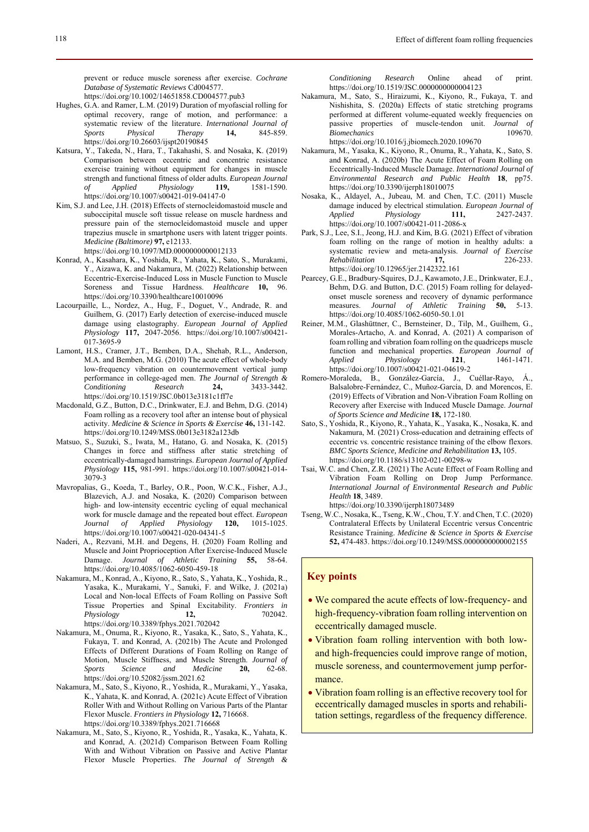prevent or reduce muscle soreness after exercise. *Cochrane Database of Systematic Reviews* Cd004577.

https://doi.org/10.1002/14651858.CD004577.pub3

- Hughes, G.A. and Ramer, L.M. (2019) Duration of myofascial rolling for optimal recovery, range of motion, and performance: a systematic review of the literature. *International Journal of Sports Physical Therapy* **14,** 845-859. https://doi.org/10.26603/ijspt20190845
- Katsura, Y., Takeda, N., Hara, T., Takahashi, S. and Nosaka, K. (2019) Comparison between eccentric and concentric resistance exercise training without equipment for changes in muscle strength and functional fitness of older adults. *European Journal of Applied Physiology* **119,** 1581-1590. https://doi.org/10.1007/s00421-019-04147-0
- Kim, S.J. and Lee, J.H. (2018) Effects of sternocleidomastoid muscle and suboccipital muscle soft tissue release on muscle hardness and pressure pain of the sternocleidomastoid muscle and upper trapezius muscle in smartphone users with latent trigger points. *Medicine (Baltimore)* **97,** e12133. https://doi.org/10.1097/MD.0000000000012133
- Konrad, A., Kasahara, K., Yoshida, R., Yahata, K., Sato, S., Murakami, Y., Aizawa, K. and Nakamura, M. (2022) Relationship between Eccentric-Exercise-Induced Loss in Muscle Function to Muscle Soreness and Tissue Hardness. *Healthcare* **10,** 96. https://doi.org/10.3390/healthcare10010096
- Lacourpaille, L., Nordez, A., Hug, F., Doguet, V., Andrade, R. and Guilhem, G. (2017) Early detection of exercise-induced muscle damage using elastography. *European Journal of Applied Physiology* **117,** 2047-2056. https://doi.org/10.1007/s00421- 017-3695-9
- Lamont, H.S., Cramer, J.T., Bemben, D.A., Shehab, R.L., Anderson, M.A. and Bemben, M.G. (2010) The acute effect of whole-body low-frequency vibration on countermovement vertical jump performance in college-aged men. *The Journal of Strength & Conditioning Research* **24,** 3433-3442. https://doi.org/10.1519/JSC.0b013e3181c1ff7e
- Macdonald, G.Z., Button, D.C., Drinkwater, E.J. and Behm, D.G. (2014) Foam rolling as a recovery tool after an intense bout of physical activity. *Medicine & Science in Sports & Exercise* **46,** 131-142. https://doi.org/10.1249/MSS.0b013e3182a123db
- Matsuo, S., Suzuki, S., Iwata, M., Hatano, G. and Nosaka, K. (2015) Changes in force and stiffness after static stretching of eccentrically-damaged hamstrings. *European Journal of Applied Physiology* **115,** 981-991. https://doi.org/10.1007/s00421-014- 3079-3
- Mavropalias, G., Koeda, T., Barley, O.R., Poon, W.C.K., Fisher, A.J., Blazevich, A.J. and Nosaka, K. (2020) Comparison between high- and low-intensity eccentric cycling of equal mechanical work for muscle damage and the repeated bout effect. *European Journal of Applied Physiology* 120, https://doi.org/10.1007/s00421-020-04341-5
- Naderi, A., Rezvani, M.H. and Degens, H. (2020) Foam Rolling and Muscle and Joint Proprioception After Exercise-Induced Muscle Damage. *Journal of Athletic Training* **55,** 58-64. https://doi.org/10.4085/1062-6050-459-18
- Nakamura, M., Konrad, A., Kiyono, R., Sato, S., Yahata, K., Yoshida, R., Yasaka, K., Murakami, Y., Sanuki, F. and Wilke, J. (2021a) Local and Non-local Effects of Foam Rolling on Passive Soft Tissue Properties and Spinal Excitability. *Frontiers in Physiology* **12,** 702042. https://doi.org/10.3389/fphys.2021.702042
- Nakamura, M., Onuma, R., Kiyono, R., Yasaka, K., Sato, S., Yahata, K., Fukaya, T. and Konrad, A. (2021b) The Acute and Prolonged Effects of Different Durations of Foam Rolling on Range of Motion, Muscle Stiffness, and Muscle Strength. *Journal of Sports Science and Medicine* **20,** 62-68. https://doi.org/10.52082/jssm.2021.62
- Nakamura, M., Sato, S., Kiyono, R., Yoshida, R., Murakami, Y., Yasaka, K., Yahata, K. and Konrad, A. (2021c) Acute Effect of Vibration Roller With and Without Rolling on Various Parts of the Plantar Flexor Muscle. *Frontiers in Physiology* **12,** 716668. https://doi.org/10.3389/fphys.2021.716668
- Nakamura, M., Sato, S., Kiyono, R., Yoshida, R., Yasaka, K., Yahata, K. and Konrad, A. (2021d) Comparison Between Foam Rolling With and Without Vibration on Passive and Active Plantar Flexor Muscle Properties. *The Journal of Strength &*

*Conditioning Research* Online ahead of print. https://doi.org/10.1519/JSC.0000000000004123

- Nakamura, M., Sato, S., Hiraizumi, K., Kiyono, R., Fukaya, T. and Nishishita, S. (2020a) Effects of static stretching programs performed at different volume-equated weekly frequencies on passive properties of muscle-tendon unit. *Journal of Biomechanics* 109670. https://doi.org/10.1016/j.jbiomech.2020.109670
- Nakamura, M., Yasaka, K., Kiyono, R., Onuma, R., Yahata, K., Sato, S. and Konrad, A. (2020b) The Acute Effect of Foam Rolling on Eccentrically-Induced Muscle Damage. *International Journal of Environmental Research and Public Health* **18**, pp75. https://doi.org/10.3390/ijerph18010075
- Nosaka, K., Aldayel, A., Jubeau, M. and Chen, T.C. (2011) Muscle damage induced by electrical stimulation. *European Journal of Applied Physiology* **111,** 2427-2437. https://doi.org/10.1007/s00421-011-2086-x
- Park, S.J., Lee, S.I., Jeong, H.J. and Kim, B.G. (2021) Effect of vibration foam rolling on the range of motion in healthy adults: a systematic review and meta-analysis. *Journal of Exercise Rehabilitation* **17,** 226-233. https://doi.org/10.12965/jer.2142322.161
- Pearcey, G.E., Bradbury-Squires, D.J., Kawamoto, J.E., Drinkwater, E.J., Behm, D.G. and Button, D.C. (2015) Foam rolling for delayedonset muscle soreness and recovery of dynamic performance measures. *Journal of Athletic Training* **50,** 5-13. https://doi.org/10.4085/1062-6050-50.1.01
- Reiner, M.M., Glashüttner, C., Bernsteiner, D., Tilp, M., Guilhem, G., Morales-Artacho, A. and Konrad, A. (2021) A comparison of foam rolling and vibration foam rolling on the quadriceps muscle function and mechanical properties. *European Journal of Applied Physiology* **121**, 1461-1471. https://doi.org/10.1007/s00421-021-04619-2
- Romero-Moraleda, B., González-García, J., Cuéllar-Rayo, Á., Balsalobre-Fernández, C., Muñoz-García, D. and Morencos, E. (2019) Effects of Vibration and Non-Vibration Foam Rolling on Recovery after Exercise with Induced Muscle Damage. *Journal of Sports Science and Medicine* **18,** 172-180.
- Sato, S., Yoshida, R., Kiyono, R., Yahata, K., Yasaka, K., Nosaka, K. and Nakamura, M. (2021) Cross-education and detraining effects of eccentric vs. concentric resistance training of the elbow flexors. *BMC Sports Science, Medicine and Rehabilitation* **13,** 105. https://doi.org/10.1186/s13102-021-00298-w
- Tsai, W.C. and Chen, Z.R. (2021) The Acute Effect of Foam Rolling and Vibration Foam Rolling on Drop Jump Performance. *International Journal of Environmental Research and Public Health* **18**, 3489. https://doi.org/10.3390/ijerph18073489
- Tseng, W.C., Nosaka, K., Tseng, K.W., Chou, T.Y. and Chen, T.C. (2020) Contralateral Effects by Unilateral Eccentric versus Concentric Resistance Training. *Medicine & Science in Sports & Exercise* **52,** 474-483. https://doi.org/10.1249/MSS.0000000000002155

### **Key points**

- We compared the acute effects of low-frequency- and high-frequency-vibration foam rolling intervention on eccentrically damaged muscle.
- Vibration foam rolling intervention with both lowand high-frequencies could improve range of motion, muscle soreness, and countermovement jump performance.
- Vibration foam rolling is an effective recovery tool for eccentrically damaged muscles in sports and rehabilitation settings, regardless of the frequency difference.